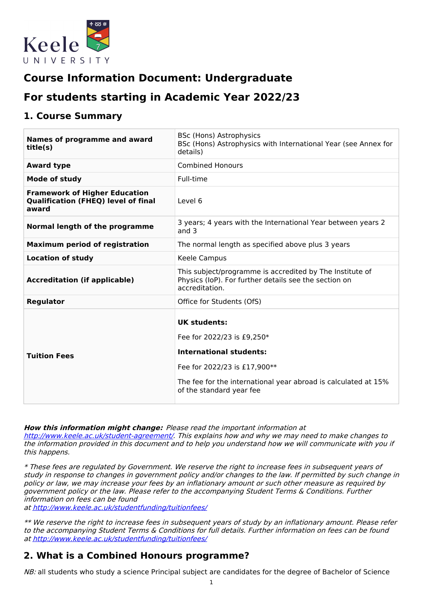

# **Course Information Document: Undergraduate**

# **For students starting in Academic Year 2022/23**

## **1. Course Summary**

| <b>Names of programme and award</b><br>title(s)                                             | <b>BSc (Hons) Astrophysics</b><br>BSc (Hons) Astrophysics with International Year (see Annex for<br>details)                                                                                                      |  |
|---------------------------------------------------------------------------------------------|-------------------------------------------------------------------------------------------------------------------------------------------------------------------------------------------------------------------|--|
| <b>Award type</b>                                                                           | <b>Combined Honours</b>                                                                                                                                                                                           |  |
| <b>Mode of study</b>                                                                        | Full-time                                                                                                                                                                                                         |  |
| <b>Framework of Higher Education</b><br><b>Qualification (FHEQ) level of final</b><br>award | Level 6                                                                                                                                                                                                           |  |
| Normal length of the programme                                                              | 3 years; 4 years with the International Year between years 2<br>and $3$                                                                                                                                           |  |
| <b>Maximum period of registration</b>                                                       | The normal length as specified above plus 3 years                                                                                                                                                                 |  |
| <b>Location of study</b>                                                                    | Keele Campus                                                                                                                                                                                                      |  |
| <b>Accreditation (if applicable)</b>                                                        | This subject/programme is accredited by The Institute of<br>Physics (IoP). For further details see the section on<br>accreditation.                                                                               |  |
| <b>Regulator</b>                                                                            | Office for Students (OfS)                                                                                                                                                                                         |  |
| <b>Tuition Fees</b>                                                                         | <b>UK students:</b><br>Fee for 2022/23 is £9,250*<br><b>International students:</b><br>Fee for 2022/23 is £17,900**<br>The fee for the international year abroad is calculated at 15%<br>of the standard year fee |  |

**How this information might change:** Please read the important information at

<http://www.keele.ac.uk/student-agreement/>. This explains how and why we may need to make changes to the information provided in this document and to help you understand how we will communicate with you if this happens.

\* These fees are regulated by Government. We reserve the right to increase fees in subsequent years of study in response to changes in government policy and/or changes to the law. If permitted by such change in policy or law, we may increase your fees by an inflationary amount or such other measure as required by government policy or the law. Please refer to the accompanying Student Terms & Conditions. Further information on fees can be found

at <http://www.keele.ac.uk/studentfunding/tuitionfees/>

\*\* We reserve the right to increase fees in subsequent years of study by an inflationary amount. Please refer to the accompanying Student Terms & Conditions for full details. Further information on fees can be found at <http://www.keele.ac.uk/studentfunding/tuitionfees/>

## **2. What is a Combined Honours programme?**

NB: all students who study a science Principal subject are candidates for the degree of Bachelor of Science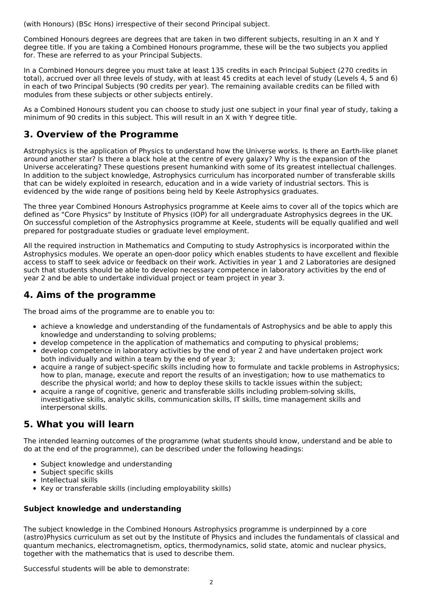(with Honours) (BSc Hons) irrespective of their second Principal subject.

Combined Honours degrees are degrees that are taken in two different subjects, resulting in an X and Y degree title. If you are taking a Combined Honours programme, these will be the two subjects you applied for. These are referred to as your Principal Subjects.

In a Combined Honours degree you must take at least 135 credits in each Principal Subject (270 credits in total), accrued over all three levels of study, with at least 45 credits at each level of study (Levels 4, 5 and 6) in each of two Principal Subjects (90 credits per year). The remaining available credits can be filled with modules from these subjects or other subjects entirely.

As a Combined Honours student you can choose to study just one subject in your final year of study, taking a minimum of 90 credits in this subject. This will result in an X with Y degree title.

## **3. Overview of the Programme**

Astrophysics is the application of Physics to understand how the Universe works. Is there an Earth-like planet around another star? Is there a black hole at the centre of every galaxy? Why is the expansion of the Universe accelerating? These questions present humankind with some of its greatest intellectual challenges. In addition to the subject knowledge, Astrophysics curriculum has incorporated number of transferable skills that can be widely exploited in research, education and in a wide variety of industrial sectors. This is evidenced by the wide range of positions being held by Keele Astrophysics graduates.

The three year Combined Honours Astrophysics programme at Keele aims to cover all of the topics which are defined as "Core Physics" by Institute of Physics (IOP) for all undergraduate Astrophysics degrees in the UK. On successful completion of the Astrophysics programme at Keele, students will be equally qualified and well prepared for postgraduate studies or graduate level employment.

All the required instruction in Mathematics and Computing to study Astrophysics is incorporated within the Astrophysics modules. We operate an open-door policy which enables students to have excellent and flexible access to staff to seek advice or feedback on their work. Activities in year 1 and 2 Laboratories are designed such that students should be able to develop necessary competence in laboratory activities by the end of year 2 and be able to undertake individual project or team project in year 3.

## **4. Aims of the programme**

The broad aims of the programme are to enable you to:

- achieve a knowledge and understanding of the fundamentals of Astrophysics and be able to apply this knowledge and understanding to solving problems;
- develop competence in the application of mathematics and computing to physical problems;
- develop competence in laboratory activities by the end of year 2 and have undertaken project work both individually and within a team by the end of year 3;
- acquire a range of subject-specific skills including how to formulate and tackle problems in Astrophysics; how to plan, manage, execute and report the results of an investigation; how to use mathematics to describe the physical world; and how to deploy these skills to tackle issues within the subject;
- acquire a range of cognitive, generic and transferable skills including problem-solving skills, investigative skills, analytic skills, communication skills, IT skills, time management skills and interpersonal skills.

## **5. What you will learn**

The intended learning outcomes of the programme (what students should know, understand and be able to do at the end of the programme), can be described under the following headings:

- Subject knowledge and understanding
- Subject specific skills
- $\bullet$  Intellectual skills
- Key or transferable skills (including employability skills)

### **Subject knowledge and understanding**

The subject knowledge in the Combined Honours Astrophysics programme is underpinned by a core (astro)Physics curriculum as set out by the Institute of Physics and includes the fundamentals of classical and quantum mechanics, electromagnetism, optics, thermodynamics, solid state, atomic and nuclear physics, together with the mathematics that is used to describe them.

Successful students will be able to demonstrate: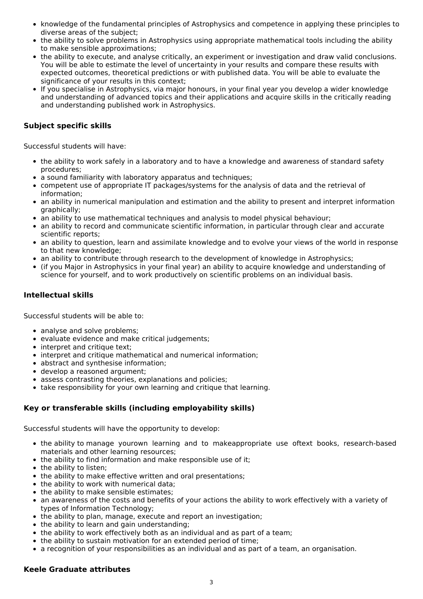- knowledge of the fundamental principles of Astrophysics and competence in applying these principles to diverse areas of the subject;
- the ability to solve problems in Astrophysics using appropriate mathematical tools including the ability to make sensible approximations;
- the ability to execute, and analyse critically, an experiment or investigation and draw valid conclusions. You will be able to estimate the level of uncertainty in your results and compare these results with expected outcomes, theoretical predictions or with published data. You will be able to evaluate the significance of your results in this context;
- If you specialise in Astrophysics, via major honours, in your final year you develop a wider knowledge and understanding of advanced topics and their applications and acquire skills in the critically reading and understanding published work in Astrophysics.

### **Subject specific skills**

Successful students will have:

- the ability to work safely in a laboratory and to have a knowledge and awareness of standard safety procedures;
- a sound familiarity with laboratory apparatus and techniques;
- competent use of appropriate IT packages/systems for the analysis of data and the retrieval of information;
- an ability in numerical manipulation and estimation and the ability to present and interpret information graphically;
- an ability to use mathematical techniques and analysis to model physical behaviour;
- an ability to record and communicate scientific information, in particular through clear and accurate scientific reports;
- an ability to question, learn and assimilate knowledge and to evolve your views of the world in response to that new knowledge;
- an ability to contribute through research to the development of knowledge in Astrophysics;
- (if you Major in Astrophysics in your final year) an ability to acquire knowledge and understanding of science for yourself, and to work productively on scientific problems on an individual basis.

### **Intellectual skills**

Successful students will be able to:

- analyse and solve problems;
- evaluate evidence and make critical judgements;
- interpret and critique text;
- interpret and critique mathematical and numerical information:
- abstract and synthesise information:
- develop a reasoned argument;
- assess contrasting theories, explanations and policies:
- take responsibility for your own learning and critique that learning.

### **Key or transferable skills (including employability skills)**

Successful students will have the opportunity to develop:

- the ability to manage yourown learning and to makeappropriate use oftext books, research-based materials and other learning resources;
- the ability to find information and make responsible use of it:
- the ability to listen;
- the ability to make effective written and oral presentations;
- the ability to work with numerical data;
- the ability to make sensible estimates;
- an awareness of the costs and benefits of your actions the ability to work effectively with a variety of types of Information Technology;
- the ability to plan, manage, execute and report an investigation;
- the ability to learn and gain understanding;
- the ability to work effectively both as an individual and as part of a team;
- the ability to sustain motivation for an extended period of time;
- a recognition of your responsibilities as an individual and as part of a team, an organisation.

#### **Keele Graduate attributes**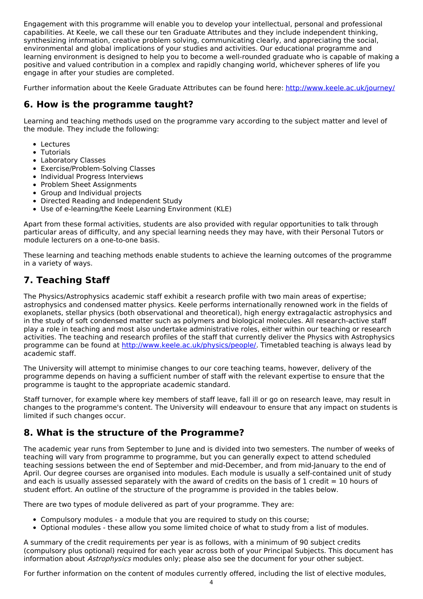Engagement with this programme will enable you to develop your intellectual, personal and professional capabilities. At Keele, we call these our ten Graduate Attributes and they include independent thinking, synthesizing information, creative problem solving, communicating clearly, and appreciating the social, environmental and global implications of your studies and activities. Our educational programme and learning environment is designed to help you to become a well-rounded graduate who is capable of making a positive and valued contribution in a complex and rapidly changing world, whichever spheres of life you engage in after your studies are completed.

Further information about the Keele Graduate Attributes can be found here: <http://www.keele.ac.uk/journey/>

## **6. How is the programme taught?**

Learning and teaching methods used on the programme vary according to the subject matter and level of the module. They include the following:

- Lectures
- Tutorials
- Laboratory Classes
- Exercise/Problem-Solving Classes
- Individual Progress Interviews
- Problem Sheet Assignments
- Group and Individual projects
- Directed Reading and Independent Study
- Use of e-learning/the Keele Learning Environment (KLE)

Apart from these formal activities, students are also provided with regular opportunities to talk through particular areas of difficulty, and any special learning needs they may have, with their Personal Tutors or module lecturers on a one-to-one basis.

These learning and teaching methods enable students to achieve the learning outcomes of the programme in a variety of ways.

## **7. Teaching Staff**

The Physics/Astrophysics academic staff exhibit a research profile with two main areas of expertise; astrophysics and condensed matter physics. Keele performs internationally renowned work in the fields of exoplanets, stellar physics (both observational and theoretical), high energy extragalactic astrophysics and in the study of soft condensed matter such as polymers and biological molecules. All research-active staff play a role in teaching and most also undertake administrative roles, either within our teaching or research activities. The teaching and research profiles of the staff that currently deliver the Physics with Astrophysics programme can be found at <http://www.keele.ac.uk/physics/people/>. Timetabled teaching is always lead by academic staff.

The University will attempt to minimise changes to our core teaching teams, however, delivery of the programme depends on having a sufficient number of staff with the relevant expertise to ensure that the programme is taught to the appropriate academic standard.

Staff turnover, for example where key members of staff leave, fall ill or go on research leave, may result in changes to the programme's content. The University will endeavour to ensure that any impact on students is limited if such changes occur.

## **8. What is the structure of the Programme?**

The academic year runs from September to June and is divided into two semesters. The number of weeks of teaching will vary from programme to programme, but you can generally expect to attend scheduled teaching sessions between the end of September and mid-December, and from mid-January to the end of April. Our degree courses are organised into modules. Each module is usually a self-contained unit of study and each is usually assessed separately with the award of credits on the basis of 1 credit  $= 10$  hours of student effort. An outline of the structure of the programme is provided in the tables below.

There are two types of module delivered as part of your programme. They are:

- Compulsory modules a module that you are required to study on this course;
- Optional modules these allow you some limited choice of what to study from a list of modules.

A summary of the credit requirements per year is as follows, with a minimum of 90 subject credits (compulsory plus optional) required for each year across both of your Principal Subjects. This document has information about Astrophysics modules only; please also see the document for your other subject.

For further information on the content of modules currently offered, including the list of elective modules,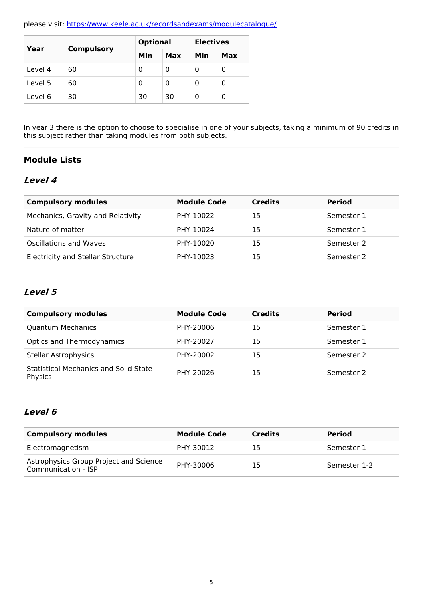please visit: <https://www.keele.ac.uk/recordsandexams/modulecatalogue/>

| Year    |                   | <b>Optional</b> |    | <b>Electives</b> |     |
|---------|-------------------|-----------------|----|------------------|-----|
|         | <b>Compulsory</b> | Min<br>Max      |    | Min              | Max |
| Level 4 | 60                | 0               | 0  | Ω                | 0   |
| Level 5 | 60                | 0               | 0  | 0                | 0   |
| Level 6 | 30                | 30              | 30 | 0                | 0   |

In year 3 there is the option to choose to specialise in one of your subjects, taking a minimum of 90 credits in this subject rather than taking modules from both subjects.

### **Module Lists**

### **Level 4**

| <b>Compulsory modules</b>                | <b>Module Code</b> | <b>Credits</b> | <b>Period</b> |
|------------------------------------------|--------------------|----------------|---------------|
| Mechanics, Gravity and Relativity        | PHY-10022          | 15             | Semester 1    |
| Nature of matter                         | PHY-10024          | 15             | Semester 1    |
| Oscillations and Waves                   | PHY-10020          | 15             | Semester 2    |
| <b>Electricity and Stellar Structure</b> | PHY-10023          | 15             | Semester 2    |

### **Level 5**

| <b>Compulsory modules</b>                               | <b>Module Code</b> | <b>Credits</b> | <b>Period</b> |
|---------------------------------------------------------|--------------------|----------------|---------------|
| <b>Quantum Mechanics</b>                                | PHY-20006          | 15             | Semester 1    |
| <b>Optics and Thermodynamics</b>                        | PHY-20027          | 15             | Semester 1    |
| <b>Stellar Astrophysics</b>                             | PHY-20002          | 15             | Semester 2    |
| <b>Statistical Mechanics and Solid State</b><br>Physics | PHY-20026          | 15             | Semester 2    |

## **Level 6**

| <b>Compulsory modules</b>                                     | <b>Module Code</b> | <b>Credits</b> | <b>Period</b> |
|---------------------------------------------------------------|--------------------|----------------|---------------|
| Electromagnetism                                              | PHY-30012          | 15             | Semester 1    |
| Astrophysics Group Project and Science<br>Communication - ISP | PHY-30006          | 15             | Semester 1-2  |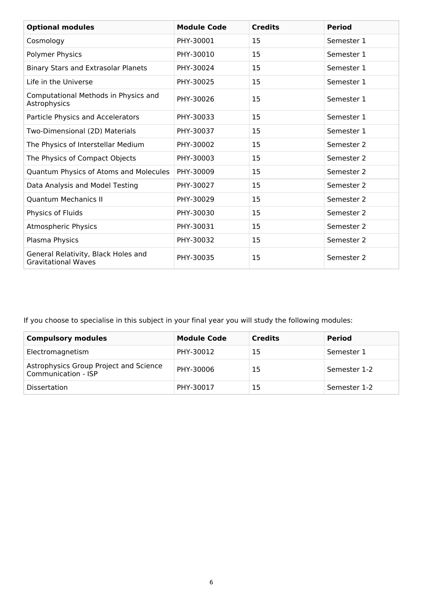| <b>Optional modules</b>                                           | <b>Module Code</b> | <b>Credits</b> | <b>Period</b> |
|-------------------------------------------------------------------|--------------------|----------------|---------------|
| Cosmology                                                         | PHY-30001          | 15             | Semester 1    |
| Polymer Physics                                                   | PHY-30010          | 15             | Semester 1    |
| <b>Binary Stars and Extrasolar Planets</b>                        | PHY-30024          | 15             | Semester 1    |
| Life in the Universe                                              | PHY-30025          | 15             | Semester 1    |
| Computational Methods in Physics and<br>Astrophysics              | PHY-30026          | 15             | Semester 1    |
| Particle Physics and Accelerators                                 | PHY-30033          | 15             | Semester 1    |
| Two-Dimensional (2D) Materials                                    | PHY-30037          | 15             | Semester 1    |
| The Physics of Interstellar Medium                                | PHY-30002          | 15             | Semester 2    |
| The Physics of Compact Objects                                    | PHY-30003          | 15             | Semester 2    |
| Quantum Physics of Atoms and Molecules                            | PHY-30009          | 15             | Semester 2    |
| Data Analysis and Model Testing                                   | PHY-30027          | 15             | Semester 2    |
| <b>Quantum Mechanics II</b>                                       | PHY-30029          | 15             | Semester 2    |
| Physics of Fluids                                                 | PHY-30030          | 15             | Semester 2    |
| Atmospheric Physics                                               | PHY-30031          | 15             | Semester 2    |
| Plasma Physics                                                    | PHY-30032          | 15             | Semester 2    |
| General Relativity, Black Holes and<br><b>Gravitational Waves</b> | PHY-30035          | 15             | Semester 2    |

If you choose to specialise in this subject in your final year you will study the following modules:

| <b>Compulsory modules</b>                                     | <b>Module Code</b> | <b>Credits</b> | <b>Period</b> |
|---------------------------------------------------------------|--------------------|----------------|---------------|
| Electromagnetism                                              | PHY-30012          | 15             | Semester 1    |
| Astrophysics Group Project and Science<br>Communication - ISP | PHY-30006          | 15             | Semester 1-2  |
| <b>Dissertation</b>                                           | PHY-30017          | 15             | Semester 1-2  |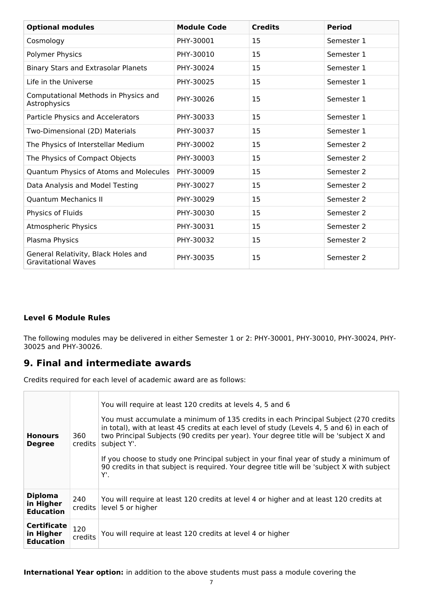| <b>Optional modules</b>                                           | <b>Module Code</b> | <b>Credits</b> | <b>Period</b> |
|-------------------------------------------------------------------|--------------------|----------------|---------------|
| Cosmology                                                         | PHY-30001          | 15             | Semester 1    |
| Polymer Physics                                                   | PHY-30010          | 15             | Semester 1    |
| Binary Stars and Extrasolar Planets                               | PHY-30024          | 15             | Semester 1    |
| Life in the Universe                                              | PHY-30025          | 15             | Semester 1    |
| Computational Methods in Physics and<br>Astrophysics              | PHY-30026          | 15             | Semester 1    |
| Particle Physics and Accelerators                                 | PHY-30033          | 15             | Semester 1    |
| Two-Dimensional (2D) Materials                                    | PHY-30037          | 15             | Semester 1    |
| The Physics of Interstellar Medium                                | PHY-30002          | 15             | Semester 2    |
| The Physics of Compact Objects                                    | PHY-30003          | 15             | Semester 2    |
| Quantum Physics of Atoms and Molecules                            | PHY-30009          | 15             | Semester 2    |
| Data Analysis and Model Testing                                   | PHY-30027          | 15             | Semester 2    |
| <b>Quantum Mechanics II</b>                                       | PHY-30029          | 15             | Semester 2    |
| Physics of Fluids                                                 | PHY-30030          | 15             | Semester 2    |
| Atmospheric Physics                                               | PHY-30031          | 15             | Semester 2    |
| Plasma Physics                                                    | PHY-30032          | 15             | Semester 2    |
| General Relativity, Black Holes and<br><b>Gravitational Waves</b> | PHY-30035          | 15             | Semester 2    |

### **Level 6 Module Rules**

The following modules may be delivered in either Semester 1 or 2: PHY-30001, PHY-30010, PHY-30024, PHY-30025 and PHY-30026.

### **9. Final and intermediate awards**

Credits required for each level of academic award are as follows:

| <b>Honours</b><br><b>Degree</b>                     | 360<br>credits | You will require at least 120 credits at levels 4, 5 and 6<br>You must accumulate a minimum of 135 credits in each Principal Subject (270 credits<br>in total), with at least 45 credits at each level of study (Levels 4, 5 and 6) in each of<br>two Principal Subjects (90 credits per year). Your degree title will be 'subject X and<br>subject Y'.<br>If you choose to study one Principal subject in your final year of study a minimum of<br>90 credits in that subject is required. Your degree title will be 'subject X with subject<br>Υ'. |
|-----------------------------------------------------|----------------|------------------------------------------------------------------------------------------------------------------------------------------------------------------------------------------------------------------------------------------------------------------------------------------------------------------------------------------------------------------------------------------------------------------------------------------------------------------------------------------------------------------------------------------------------|
| <b>Diploma</b><br>in Higher<br><b>Education</b>     | 240<br>credits | You will require at least 120 credits at level 4 or higher and at least 120 credits at<br>level 5 or higher                                                                                                                                                                                                                                                                                                                                                                                                                                          |
| <b>Certificate</b><br>in Higher<br><b>Education</b> | 120<br>credits | You will require at least 120 credits at level 4 or higher                                                                                                                                                                                                                                                                                                                                                                                                                                                                                           |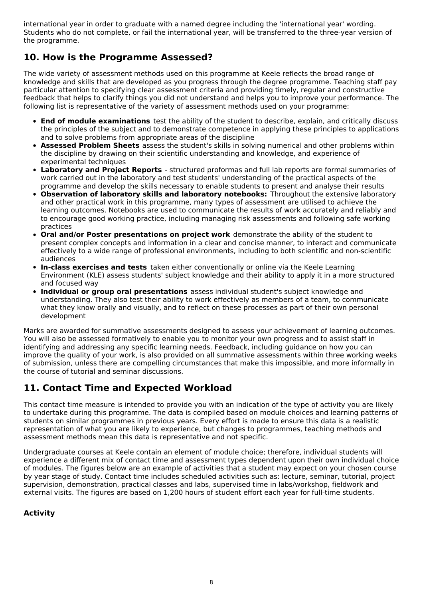international year in order to graduate with a named degree including the 'international year' wording. Students who do not complete, or fail the international year, will be transferred to the three-year version of the programme.

## **10. How is the Programme Assessed?**

The wide variety of assessment methods used on this programme at Keele reflects the broad range of knowledge and skills that are developed as you progress through the degree programme. Teaching staff pay particular attention to specifying clear assessment criteria and providing timely, regular and constructive feedback that helps to clarify things you did not understand and helps you to improve your performance. The following list is representative of the variety of assessment methods used on your programme:

- **End of module examinations** test the ability of the student to describe, explain, and critically discuss the principles of the subject and to demonstrate competence in applying these principles to applications and to solve problems from appropriate areas of the discipline
- **Assessed Problem Sheets** assess the student's skills in solving numerical and other problems within the discipline by drawing on their scientific understanding and knowledge, and experience of experimental techniques
- **Laboratory and Project Reports** structured proformas and full lab reports are formal summaries of work carried out in the laboratory and test students' understanding of the practical aspects of the programme and develop the skills necessary to enable students to present and analyse their results
- **Observation of laboratory skills and laboratory notebooks:** Throughout the extensive laboratory and other practical work in this programme, many types of assessment are utilised to achieve the learning outcomes. Notebooks are used to communicate the results of work accurately and reliably and to encourage good working practice, including managing risk assessments and following safe working practices
- **Oral and/or Poster presentations on project work** demonstrate the ability of the student to  $\bullet$ present complex concepts and information in a clear and concise manner, to interact and communicate effectively to a wide range of professional environments, including to both scientific and non-scientific audiences
- **In-class exercises and tests** taken either conventionally or online via the Keele Learning Environment (KLE) assess students' subject knowledge and their ability to apply it in a more structured and focused way
- **Individual or group oral presentations** assess individual student's subject knowledge and understanding. They also test their ability to work effectively as members of a team, to communicate what they know orally and visually, and to reflect on these processes as part of their own personal development

Marks are awarded for summative assessments designed to assess your achievement of learning outcomes. You will also be assessed formatively to enable you to monitor your own progress and to assist staff in identifying and addressing any specific learning needs. Feedback, including guidance on how you can improve the quality of your work, is also provided on all summative assessments within three working weeks of submission, unless there are compelling circumstances that make this impossible, and more informally in the course of tutorial and seminar discussions.

## **11. Contact Time and Expected Workload**

This contact time measure is intended to provide you with an indication of the type of activity you are likely to undertake during this programme. The data is compiled based on module choices and learning patterns of students on similar programmes in previous years. Every effort is made to ensure this data is a realistic representation of what you are likely to experience, but changes to programmes, teaching methods and assessment methods mean this data is representative and not specific.

Undergraduate courses at Keele contain an element of module choice; therefore, individual students will experience a different mix of contact time and assessment types dependent upon their own individual choice of modules. The figures below are an example of activities that a student may expect on your chosen course by year stage of study. Contact time includes scheduled activities such as: lecture, seminar, tutorial, project supervision, demonstration, practical classes and labs, supervised time in labs/workshop, fieldwork and external visits. The figures are based on 1,200 hours of student effort each year for full-time students.

### **Activity**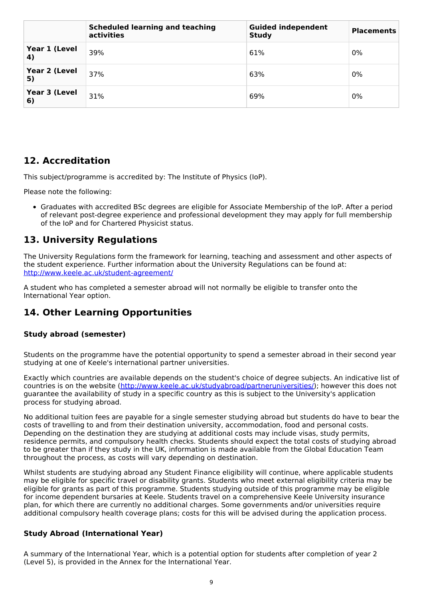|                                     | <b>Scheduled learning and teaching</b><br>activities | <b>Guided independent</b><br><b>Study</b> | <b>Placements</b> |
|-------------------------------------|------------------------------------------------------|-------------------------------------------|-------------------|
| Year 1 (Level<br>$\left( 4 \right)$ | 39%                                                  | 61%                                       | 0%                |
| Year 2 (Level<br>5)                 | 37%                                                  | 63%                                       | 0%                |
| Year 3 (Level<br>6)                 | 31%                                                  | 69%                                       | 0%                |

## **12. Accreditation**

This subject/programme is accredited by: The Institute of Physics (IoP).

Please note the following:

Graduates with accredited BSc degrees are eligible for Associate Membership of the IoP. After a period of relevant post-degree experience and professional development they may apply for full membership of the IoP and for Chartered Physicist status.

## **13. University Regulations**

The University Regulations form the framework for learning, teaching and assessment and other aspects of the student experience. Further information about the University Regulations can be found at: <http://www.keele.ac.uk/student-agreement/>

A student who has completed a semester abroad will not normally be eligible to transfer onto the International Year option.

## **14. Other Learning Opportunities**

### **Study abroad (semester)**

Students on the programme have the potential opportunity to spend a semester abroad in their second year studying at one of Keele's international partner universities.

Exactly which countries are available depends on the student's choice of degree subjects. An indicative list of countries is on the website (<http://www.keele.ac.uk/studyabroad/partneruniversities/>); however this does not guarantee the availability of study in a specific country as this is subject to the University's application process for studying abroad.

No additional tuition fees are payable for a single semester studying abroad but students do have to bear the costs of travelling to and from their destination university, accommodation, food and personal costs. Depending on the destination they are studying at additional costs may include visas, study permits, residence permits, and compulsory health checks. Students should expect the total costs of studying abroad to be greater than if they study in the UK, information is made available from the Global Education Team throughout the process, as costs will vary depending on destination.

Whilst students are studying abroad any Student Finance eligibility will continue, where applicable students may be eligible for specific travel or disability grants. Students who meet external eligibility criteria may be eligible for grants as part of this programme. Students studying outside of this programme may be eligible for income dependent bursaries at Keele. Students travel on a comprehensive Keele University insurance plan, for which there are currently no additional charges. Some governments and/or universities require additional compulsory health coverage plans; costs for this will be advised during the application process.

### **Study Abroad (International Year)**

A summary of the International Year, which is a potential option for students after completion of year 2 (Level 5), is provided in the Annex for the International Year.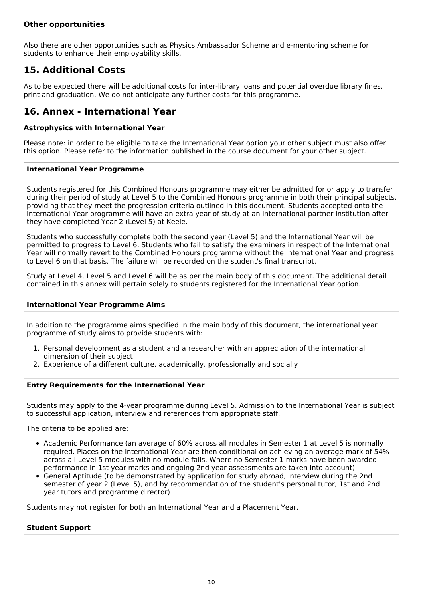### **Other opportunities**

Also there are other opportunities such as Physics Ambassador Scheme and e-mentoring scheme for students to enhance their employability skills.

## **15. Additional Costs**

As to be expected there will be additional costs for inter-library loans and potential overdue library fines, print and graduation. We do not anticipate any further costs for this programme.

## **16. Annex - International Year**

### **Astrophysics with International Year**

Please note: in order to be eligible to take the International Year option your other subject must also offer this option. Please refer to the information published in the course document for your other subject.

#### **International Year Programme**

Students registered for this Combined Honours programme may either be admitted for or apply to transfer during their period of study at Level 5 to the Combined Honours programme in both their principal subjects, providing that they meet the progression criteria outlined in this document. Students accepted onto the International Year programme will have an extra year of study at an international partner institution after they have completed Year 2 (Level 5) at Keele.

Students who successfully complete both the second year (Level 5) and the International Year will be permitted to progress to Level 6. Students who fail to satisfy the examiners in respect of the International Year will normally revert to the Combined Honours programme without the International Year and progress to Level 6 on that basis. The failure will be recorded on the student's final transcript.

Study at Level 4, Level 5 and Level 6 will be as per the main body of this document. The additional detail contained in this annex will pertain solely to students registered for the International Year option.

#### **International Year Programme Aims**

In addition to the programme aims specified in the main body of this document, the international year programme of study aims to provide students with:

- 1. Personal development as a student and a researcher with an appreciation of the international dimension of their subject
- 2. Experience of a different culture, academically, professionally and socially

#### **Entry Requirements for the International Year**

Students may apply to the 4-year programme during Level 5. Admission to the International Year is subject to successful application, interview and references from appropriate staff.

The criteria to be applied are:

- Academic Performance (an average of 60% across all modules in Semester 1 at Level 5 is normally required. Places on the International Year are then conditional on achieving an average mark of 54% across all Level 5 modules with no module fails. Where no Semester 1 marks have been awarded performance in 1st year marks and ongoing 2nd year assessments are taken into account)
- General Aptitude (to be demonstrated by application for study abroad, interview during the 2nd semester of year 2 (Level 5), and by recommendation of the student's personal tutor, 1st and 2nd year tutors and programme director)

Students may not register for both an International Year and a Placement Year.

#### **Student Support**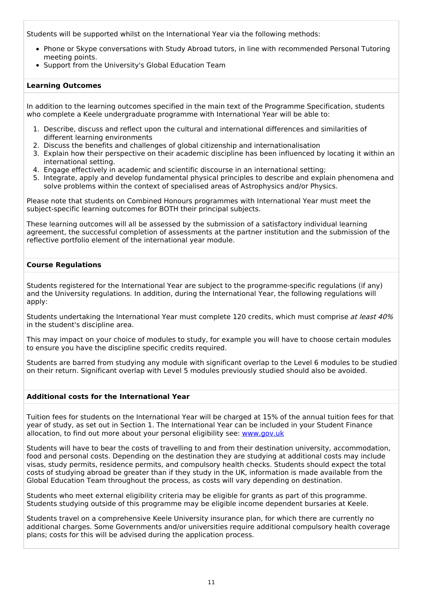Students will be supported whilst on the International Year via the following methods:

- Phone or Skype conversations with Study Abroad tutors, in line with recommended Personal Tutoring meeting points.
- Support from the University's Global Education Team

### **Learning Outcomes**

In addition to the learning outcomes specified in the main text of the Programme Specification, students who complete a Keele undergraduate programme with International Year will be able to:

- 1. Describe, discuss and reflect upon the cultural and international differences and similarities of different learning environments
- 2. Discuss the benefits and challenges of global citizenship and internationalisation
- 3. Explain how their perspective on their academic discipline has been influenced by locating it within an international setting.
- 4. Engage effectively in academic and scientific discourse in an international setting;
- 5. Integrate, apply and develop fundamental physical principles to describe and explain phenomena and solve problems within the context of specialised areas of Astrophysics and/or Physics.

Please note that students on Combined Honours programmes with International Year must meet the subject-specific learning outcomes for BOTH their principal subjects.

These learning outcomes will all be assessed by the submission of a satisfactory individual learning agreement, the successful completion of assessments at the partner institution and the submission of the reflective portfolio element of the international year module.

### **Course Regulations**

Students registered for the International Year are subject to the programme-specific regulations (if any) and the University regulations. In addition, during the International Year, the following regulations will apply:

Students undertaking the International Year must complete 120 credits, which must comprise at least 40% in the student's discipline area.

This may impact on your choice of modules to study, for example you will have to choose certain modules to ensure you have the discipline specific credits required.

Students are barred from studying any module with significant overlap to the Level 6 modules to be studied on their return. Significant overlap with Level 5 modules previously studied should also be avoided.

#### **Additional costs for the International Year**

Tuition fees for students on the International Year will be charged at 15% of the annual tuition fees for that year of study, as set out in Section 1. The International Year can be included in your Student Finance allocation, to find out more about your personal eligibility see: [www.gov.uk](http://www.gov.uk/)

Students will have to bear the costs of travelling to and from their destination university, accommodation, food and personal costs. Depending on the destination they are studying at additional costs may include visas, study permits, residence permits, and compulsory health checks. Students should expect the total costs of studying abroad be greater than if they study in the UK, information is made available from the Global Education Team throughout the process, as costs will vary depending on destination.

Students who meet external eligibility criteria may be eligible for grants as part of this programme. Students studying outside of this programme may be eligible income dependent bursaries at Keele.

Students travel on a comprehensive Keele University insurance plan, for which there are currently no additional charges. Some Governments and/or universities require additional compulsory health coverage plans; costs for this will be advised during the application process.